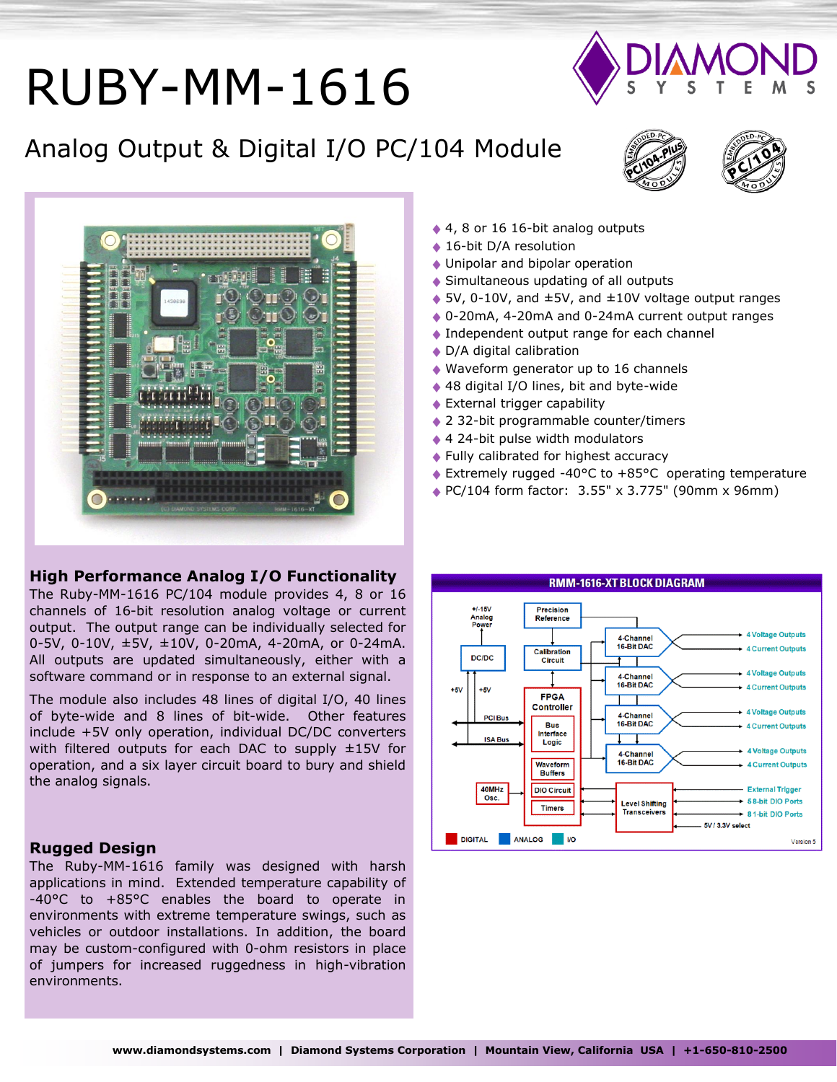# RUBY-MM-1616

## Analog Output & Digital I/O PC/104 Module







#### **High Performance Analog I/O Functionality**

The Ruby-MM-1616 PC/104 module provides 4, 8 or 16 channels of 16-bit resolution analog voltage or current output. The output range can be individually selected for 0-5V, 0-10V, ±5V, ±10V, 0-20mA, 4-20mA, or 0-24mA. All outputs are updated simultaneously, either with a software command or in response to an external signal.

The module also includes 48 lines of digital I/O, 40 lines of byte-wide and 8 lines of bit-wide. Other features include +5V only operation, individual DC/DC converters with filtered outputs for each DAC to supply  $\pm 15V$  for operation, and a six layer circuit board to bury and shield the analog signals.

#### **Rugged Design**

The Ruby-MM-1616 family was designed with harsh applications in mind. Extended temperature capability of -40°C to +85°C enables the board to operate in environments with extreme temperature swings, such as vehicles or outdoor installations. In addition, the board may be custom-configured with 0-ohm resistors in place of jumpers for increased ruggedness in high-vibration environments.

- ◆ 4, 8 or 16 16-bit analog outputs
- ◆ 16-bit D/A resolution
- Unipolar and bipolar operation
- ◆ Simultaneous updating of all outputs
- $\triangle$  5V, 0-10V, and  $\pm$ 5V, and  $\pm$ 10V voltage output ranges
- 0-20mA, 4-20mA and 0-24mA current output ranges
- ◆ Independent output range for each channel
- ◆ D/A digital calibration
- ◆ Waveform generator up to 16 channels
- ◆ 48 digital I/O lines, bit and byte-wide
- External trigger capability
- ◆ 2 32-bit programmable counter/timers
- ◆ 4 24-bit pulse width modulators
- ◆ Fully calibrated for highest accuracy
- Extremely rugged -40°C to +85°C operating temperature
- ◆ PC/104 form factor: 3.55" x 3.775" (90mm x 96mm)